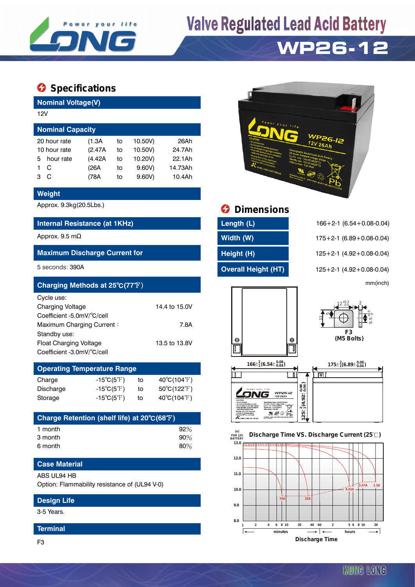

# **Valve Regulated Lead Acid Battery**

## **WP26-12**

## $\bullet$  Specifications

**Nominal Voltage(V)**

| 12V                     |              |         |    |         |         |  |  |  |  |
|-------------------------|--------------|---------|----|---------|---------|--|--|--|--|
| <b>Nominal Capacity</b> |              |         |    |         |         |  |  |  |  |
|                         | 20 hour rate | (1.3A   | to | 10.50V) | 26Ah    |  |  |  |  |
| 10 hour rate            |              | (2.47A) | to | 10.50V) | 24.7Ah  |  |  |  |  |
| 5.                      | hour rate    | (4.42A) | to | 10.20V) | 22.1Ah  |  |  |  |  |
|                         | C            | (26A    | to | 9.60V   | 14.73Ah |  |  |  |  |
| з                       | C            | (78A    | to | 9.60V   | 10.4Ah  |  |  |  |  |

#### **Weight**

#### **Internal Resistance (at 1KHz) Length (L)** 166+2-1 (6.54+0.08-0.04)

#### **Maximum Discharge Current for Height (H)** 125+2-1 (4.92+0.08-0.04)

| Charging Methods at 25°C(77°F) |               |   | mm(inch) |            |
|--------------------------------|---------------|---|----------|------------|
| Cycle use:                     |               |   |          |            |
| <b>Charging Voltage</b>        | 14.4 to 15.0V |   |          |            |
| Coefficient -5.0mV/°C/cell     |               |   |          |            |
| Maximum Charging Current:      | 7.8A          |   |          |            |
| Standby use:                   |               |   |          | F3         |
| <b>Float Charging Voltage</b>  | 13.5 to 13.8V | Θ | $\oplus$ | (M5 Bolts) |
| Coefficient -3.0mV/°C/cell     |               |   |          |            |

### **Operating Temperature Range** Charge  $-15^{\circ}C(5^{\circ}F)$  to  $40^{\circ}C(104^{\circ}F)$ Discharge  $-15°C(5°F)$  to  $50°C(122°F)$

| <b>PIOPINI YV</b> | 1001011                          | ູ  | 00011221                    |
|-------------------|----------------------------------|----|-----------------------------|
| Storage           | -15 $^{\circ}$ C(5 $^{\circ}$ F) | to | $40^{\circ}C(104^{\circ}F)$ |
|                   |                                  |    |                             |

| Charge Retention (shelf life) at 20°C(68°F) |        |
|---------------------------------------------|--------|
| 1 month                                     | $92\%$ |
| 3 month                                     | 90%    |
| 6 month                                     | 80%    |

## **Case Material**

#### ABS UL94 HB

Option: Flammability resistance of (UL94 V-0)

#### **Design Life**

3-5 Years.

#### **Terminal**



Approx. 9.3kg(20.5Lbs.) **Dimensions** 

| Length (L)                 |
|----------------------------|
| Width (W)                  |
| Height (H)                 |
| <b>Overall Height (HT)</b> |

Approx. 9.5 mΩ **Width (W)** 175+2-1 (6.89+0.08-0.04) 5 seconds: 390A **Overall Height (HT)** 125+2-1 (4.92+0.08-0.04)





 $166\pm\frac{2}{1}(6.54\pm\frac{0.08}{0.04})$  $175 \pm \frac{2}{1} (6.89 \pm \frac{0.08}{0.04})$ ட்வ **125 (4.92 )** ± ± **0.08 0.04**  $L$ <sub>12V 264h</sub>  $3^{+}_{2}$ enc uaramme<br>| use : 58.64<br>by anc : 52.54  $\sim$  $\mathbf{N} \otimes \mathbb{R}$  $\sum_{n=1}^{\infty}$ -<br>Maria<br>Maria 1